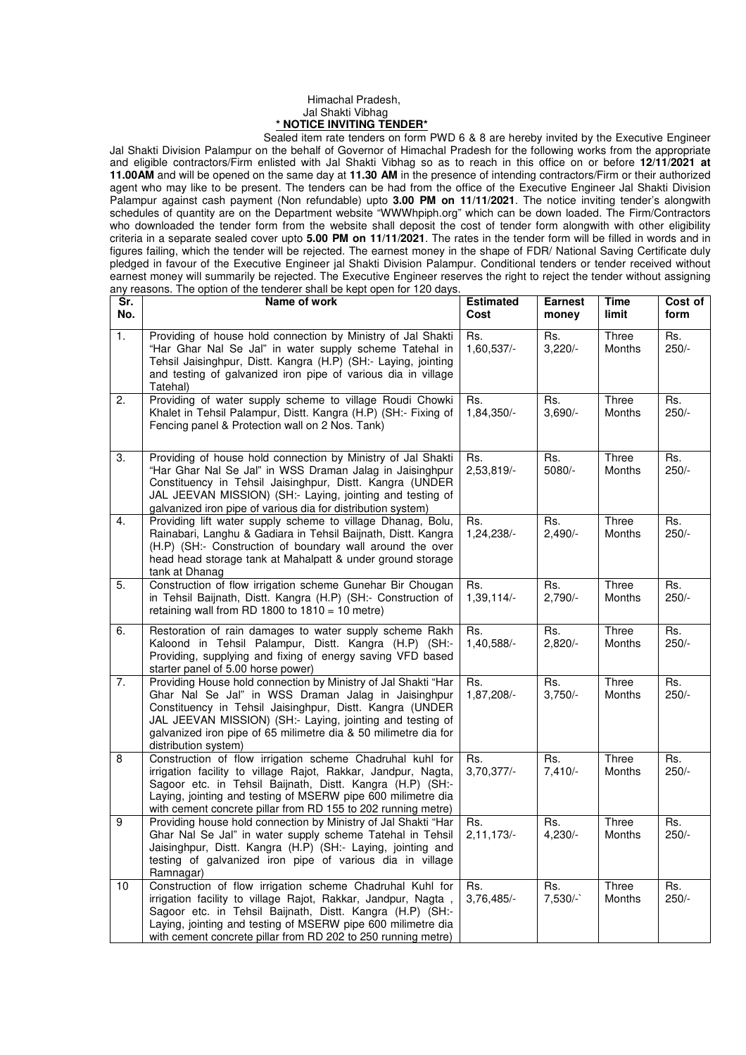## Himachal Pradesh, Jal Shakti Vibhag **\* NOTICE INVITING TENDER\***

 Sealed item rate tenders on form PWD 6 & 8 are hereby invited by the Executive Engineer Jal Shakti Division Palampur on the behalf of Governor of Himachal Pradesh for the following works from the appropriate and eligible contractors/Firm enlisted with Jal Shakti Vibhag so as to reach in this office on or before **12/11/2021 at 11.00AM** and will be opened on the same day at **11.30 AM** in the presence of intending contractors/Firm or their authorized agent who may like to be present. The tenders can be had from the office of the Executive Engineer Jal Shakti Division Palampur against cash payment (Non refundable) upto **3.00 PM on 11/11/2021**. The notice inviting tender's alongwith schedules of quantity are on the Department website "WWWhpiph.org" which can be down loaded. The Firm/Contractors who downloaded the tender form from the website shall deposit the cost of tender form alongwith with other eligibility criteria in a separate sealed cover upto **5.00 PM on 11/11/2021**. The rates in the tender form will be filled in words and in figures failing, which the tender will be rejected. The earnest money in the shape of FDR/ National Saving Certificate duly pledged in favour of the Executive Engineer jal Shakti Division Palampur. Conditional tenders or tender received without earnest money will summarily be rejected. The Executive Engineer reserves the right to reject the tender without assigning any reasons. The option of the tenderer shall be kept open for 120 days.

| Sr.<br>No. | Name of work                                                                                                                                                                                                                                                                                                                              | <b>Estimated</b><br>Cost | <b>Earnest</b><br>money | <b>Time</b><br>limit   | Cost of<br>form                     |
|------------|-------------------------------------------------------------------------------------------------------------------------------------------------------------------------------------------------------------------------------------------------------------------------------------------------------------------------------------------|--------------------------|-------------------------|------------------------|-------------------------------------|
| 1.         | Providing of house hold connection by Ministry of Jal Shakti<br>"Har Ghar Nal Se Jal" in water supply scheme Tatehal in<br>Tehsil Jaisinghpur, Distt. Kangra (H.P) (SH:- Laying, jointing<br>and testing of galvanized iron pipe of various dia in village<br>Tatehal)                                                                    | Rs.<br>1,60,537/-        | Rs.<br>3,220/           | Three<br>Months        | Rs.<br>$250/-$                      |
| 2.         | Providing of water supply scheme to village Roudi Chowki<br>Khalet in Tehsil Palampur, Distt. Kangra (H.P) (SH:- Fixing of<br>Fencing panel & Protection wall on 2 Nos. Tank)                                                                                                                                                             | Rs.<br>1,84,350/-        | Rs.<br>$3,690/-$        | Three<br>Months        | Rs.<br>$250/-$                      |
| 3.         | Providing of house hold connection by Ministry of Jal Shakti<br>"Har Ghar Nal Se Jal" in WSS Draman Jalag in Jaisinghpur<br>Constituency in Tehsil Jaisinghpur, Distt. Kangra (UNDER<br>JAL JEEVAN MISSION) (SH:- Laying, jointing and testing of<br>galvanized iron pipe of various dia for distribution system)                         | Rs.<br>2,53,819/-        | Rs.<br>5080/-           | Three<br><b>Months</b> | Rs.<br>$250/-$                      |
| 4.         | Providing lift water supply scheme to village Dhanag, Bolu,<br>Rainabari, Langhu & Gadiara in Tehsil Baijnath, Distt. Kangra<br>(H.P) (SH:- Construction of boundary wall around the over<br>head head storage tank at Mahalpatt & under ground storage<br>tank at Dhanag                                                                 | Rs.<br>1,24,238/-        | Rs.<br>$2,490/-$        | Three<br>Months        | Rs.<br>$250/-$                      |
| 5.         | Construction of flow irrigation scheme Gunehar Bir Chougan<br>in Tehsil Baijnath, Distt. Kangra (H.P) (SH:- Construction of<br>retaining wall from RD 1800 to $1810 = 10$ metre)                                                                                                                                                          | Rs.<br>1,39,114/-        | Rs.<br>2,790/-          | Three<br>Months        | Rs.<br>$250/-$                      |
| 6.         | Restoration of rain damages to water supply scheme Rakh<br>Kaloond in Tehsil Palampur, Distt. Kangra (H.P) (SH:-<br>Providing, supplying and fixing of energy saving VFD based<br>starter panel of 5.00 horse power)                                                                                                                      | Rs.<br>1,40,588/-        | Rs.<br>$2,820/-$        | Three<br>Months        | $\overline{\mathsf{Rs}}$ .<br>250/- |
| 7.         | Providing House hold connection by Ministry of Jal Shakti "Har<br>Ghar Nal Se Jal" in WSS Draman Jalag in Jaisinghpur<br>Constituency in Tehsil Jaisinghpur, Distt. Kangra (UNDER<br>JAL JEEVAN MISSION) (SH:- Laying, jointing and testing of<br>galvanized iron pipe of 65 milimetre dia & 50 milimetre dia for<br>distribution system) | Rs.<br>1,87,208/-        | Rs.<br>$3,750/-$        | Three<br><b>Months</b> | Rs.<br>$250/-$                      |
| 8          | Construction of flow irrigation scheme Chadruhal kuhl for<br>irrigation facility to village Rajot, Rakkar, Jandpur, Nagta,<br>Sagoor etc. in Tehsil Baijnath, Distt. Kangra (H.P) (SH:-<br>Laying, jointing and testing of MSERW pipe 600 milimetre dia<br>with cement concrete pillar from RD 155 to 202 running metre)                  | Rs.<br>3,70,377/         | Rs.<br>$7,410/-$        | Three<br>Months        | Rs.<br>$250/-$                      |
| 9          | Providing house hold connection by Ministry of Jal Shakti "Har<br>Ghar Nal Se Jal" in water supply scheme Tatehal in Tehsil<br>Jaisinghpur, Distt. Kangra (H.P) (SH:- Laying, jointing and<br>testing of galvanized iron pipe of various dia in village<br>Ramnagar)                                                                      | Rs.<br>2, 11, 173/       | Rs.<br>$4,230/-$        | Three<br>Months        | Rs.<br>$250/-$                      |
| 10         | Construction of flow irrigation scheme Chadruhal Kuhl for<br>irrigation facility to village Rajot, Rakkar, Jandpur, Nagta,<br>Sagoor etc. in Tehsil Baijnath, Distt. Kangra (H.P) (SH:-<br>Laying, jointing and testing of MSERW pipe 600 milimetre dia<br>with cement concrete pillar from RD 202 to 250 running metre)                  | Rs.<br>3,76,485/-        | Rs.<br>$7,530/-$        | Three<br>Months        | Rs.<br>$250/-$                      |